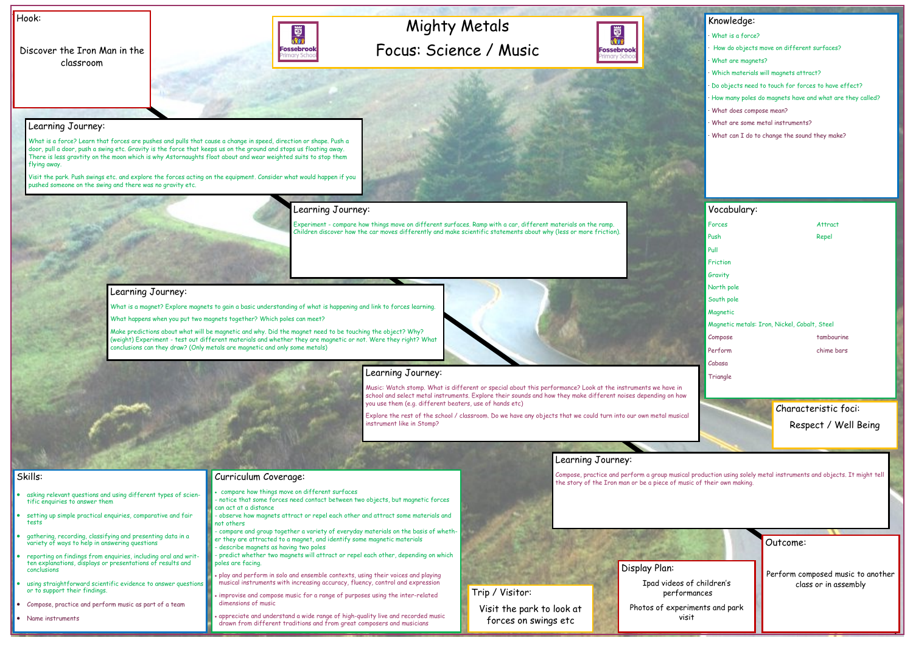# Mighty Metals Focus: Science / Music



Hook:

|                                             | Outcome:                                                  |  |
|---------------------------------------------|-----------------------------------------------------------|--|
| an:<br>videos of children's<br>performances | Perform composed music to another<br>class or in assembly |  |
| f experiments and park<br>visit             |                                                           |  |

Discover the Iron Man in the classroom



#### Knowledge:

- · What is a force?
- How do objects move on different surfaces?
- · What are magnets?
- · Which materials will magnets attract?
- · Do objects need to touch for forces to have effect?
- · How many poles do magnets have and what are they called?
- · What does compose mean?
- What are some metal instruments?
- · What can I do to change the sound they make?

#### Skills:

- asking relevant questions and using different types of scientific enquiries to answer them
- setting up simple practical enquiries, comparative and fair tests
- gathering, recording, classifying and presenting data in a variety of ways to help in answering questions
- reporting on findings from enquiries, including oral and written explanations, displays or presentations of results and conclusions
- using straightforward scientific evidence to answer questions or to support their findings.
- Compose, practice and perform music as part of a team
- Name instruments

### Learning Journey:

What is a force? Learn that forces are pushes and pulls that cause a change in speed, direction or shape. Push a door, pull a door, push a swing etc. Gravity is the force that keeps us on the ground and stops us floating away. There is less gravtity on the moon which is why Astornaughts float about and wear weighted suits to stop them flying away.

> Compose, practice and perform a group musical production using solely metal instruments and objects. It might tell **Curriculum Coverage:**<br>The story of the Iron man or be a piece of music of their own making.

Visit the park. Push swings etc. and explore the forces acting on the equipment. Consider what would happen if you pushed someone on the swing and there was no gravity etc.

# Learning Journey:

Experiment - compare how things move on different surfaces. Ramp with a car, different materials on the ramp. Children discover how the car moves differently and make scientific statements about why (less or more friction).

#### Learning Journey:

What is a magnet? Explore magnets to gain a basic understanding of what is happening and link to forces learning.

What happens when you put two magnets together? Which poles can meet?

Make predictions about what will be magnetic and why. Did the magnet need to be touching the object? Why? (weight) Experiment - test out different materials and whether they are magnetic or not. Were they right? What conclusions can they draw? (Only metals are magnetic and only some metals)



# Learning Journey:

Music: Watch stomp. What is different or special about this performance? Look at the instruments we have in school and select metal instruments. Explore their sounds and how they make different noises depending on how you use them (e.g. different beaters, use of hands etc)

Explore the rest of the school / classroom. Do we have any objects that we could turn into our own metal musical instrument like in Stomp?

### Learning Journey:

- compare how things move on different surfaces
- notice that some forces need contact between two objects, but magnetic forces can act at a distance
- observe how magnets attract or repel each other and attract some materials and not others
- compare and group together a variety of everyday materials on the basis of whether they are attracted to a magnet, and identify some magnetic materials - describe magnets as having two poles
- predict whether two magnets will attract or repel each other, depending on which poles are facing.
- play and perform in solo and ensemble contexts, using their voices and playing musical instruments with increasing accuracy, fluency, control and expression
- improvise and compose music for a range of purposes using the inter-related dimensions of music
- appreciate and understand a wide range of high-quality live and recorded music drawn from different traditions and from great composers and musicians

|                      | Vocabulary:                                  |            |  |
|----------------------|----------------------------------------------|------------|--|
|                      | Forces                                       | Attract    |  |
|                      | Push                                         | Repel      |  |
|                      | Pull                                         |            |  |
|                      | Friction                                     |            |  |
|                      | Gravity                                      |            |  |
|                      | North pole                                   |            |  |
|                      | South pole                                   |            |  |
|                      | Magnetic                                     |            |  |
|                      | Magnetic metals: Iron, Nickel, Cobalt, Steel |            |  |
|                      | Compose                                      | tambourine |  |
|                      | Perform                                      | chime bars |  |
|                      | Cabasa                                       |            |  |
|                      | Triangle                                     |            |  |
|                      |                                              |            |  |
| Characteristic foci: |                                              |            |  |



Characteristic foci: Respect / Well Being